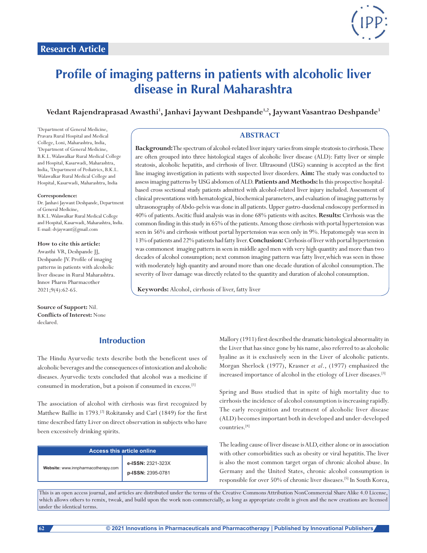

# **Profile of imaging patterns in patients with alcoholic liver disease in Rural Maharashtra**

Vedant Rajendraprasad Awasthi<sup>1</sup>, Janhavi Jaywant Deshpande<sup>1,2</sup>, Jaywant Vasantrao Deshpande<sup>3</sup>

1 Department of General Medicine, Pravara Rural Hospital and Medical College, Loni, Maharashtra, India, 2 Department of General Medicine, B.K.L. Walawalkar Rural Medical College and Hospital, Kasarwadi, Maharashtra, India, 3 Department of Pediatrics, B.K.L. Walawalkar Rural Medical College and Hospital, Kasarwadi, Maharashtra, India

#### **Correspondence:**

Dr.Janhavi Jaywant Deshpande, Department of General Medicine, B.K.L. Walawalkar Rural Medical College and Hospital, Kasarwadi, Maharashtra, India. E-mail: dvjaywant@gmail.com

**How to cite this article:** Awasthi VR, Deshpande JJ, Deshpande JV. Profile of imaging patterns in patients with alcoholic liver disease in Rural Maharashtra. Innov Pharm Pharmacother 2021;9(4):62-65.

**Source of Support:** Nil. **Conflicts of Interest:** None declared.

## **Introduction**

The Hindu Ayurvedic texts describe both the beneficent uses of alcoholic beverages and the consequences of intoxication and alcoholic diseases. Ayurvedic texts concluded that alcohol was a medicine if consumed in moderation, but a poison if consumed in excess.[1]

The association of alcohol with cirrhosis was first recognized by Matthew Baillie in 1793.<sup>[2]</sup> Rokitansky and Carl (1849) for the first time described fatty Liver on direct observation in subjects who have been excessively drinking spirits.

| Access this article online          |                                        |  |  |  |
|-------------------------------------|----------------------------------------|--|--|--|
| Website: www.innpharmacotherapy.com | e-ISSN: 2321-323X<br>p-ISSN: 2395-0781 |  |  |  |

#### **ABSTRACT**

**Background:** The spectrum of alcohol-related liver injury varies from simple steatosis to cirrhosis. These are often grouped into three histological stages of alcoholic liver disease (ALD): Fatty liver or simple steatosis, alcoholic hepatitis, and cirrhosis of liver. Ultrasound (USG) scanning is accepted as the first line imaging investigation in patients with suspected liver disorders. **Aim:** The study was conducted to assess imaging patterns by USG abdomen of ALD. **Patients and Methods:** In this prospective hospitalbased cross sectional study patients admitted with alcohol-related liver injury included. Assessment of clinical presentations with hematological, biochemical parameters, and evaluation of imaging patterns by ultrasonography of Abdo-pelvis was done in all patients. Upper gastro-duodenal endoscopy performed in 40% of patients. Ascitic fluid analysis was in done 68% patients with ascites. **Results:** Cirrhosis was the common finding in this study in 65% of the patients. Among those cirrhosis with portal hypertension was seen in 56% and cirrhosis without portal hypertension was seen only in 9%. Hepatomegaly was seen in 13% of patients and 22% patients had fatty liver. **Conclusion:** Cirrhosis of liver with portal hypertension was commonest imaging pattern in seen in middle aged men with very high quantity and more than two decades of alcohol consumption; next common imaging pattern was fatty liver,which was seen in those with moderately high quantity and around more than one decade duration of alcohol consumption. The severity of liver damage was directly related to the quantity and duration of alcohol consumption.

**Keywords:** Alcohol, cirrhosis of liver, fatty liver

Mallory (1911) first described the dramatic histological abnormality in the Liver that has since gone by his name, also referred to as alcoholic hyaline as it is exclusively seen in the Liver of alcoholic patients. Morgan Sherlock (1977), Krasner *et al*., (1977) emphasized the increased importance of alcohol in the etiology of Liver diseases.[3]

Spring and Buss studied that in spite of high mortality due to cirrhosis the incidence of alcohol consumption is increasing rapidly. The early recognition and treatment of alcoholic liver disease (ALD) becomes important both in developed and under-developed countries.[4]

The leading cause of liver disease is ALD, either alone or in association with other comorbidities such as obesity or viral hepatitis. The liver is also the most common target organ of chronic alcohol abuse. In Germany and the United States, chronic alcohol consumption is responsible for over 50% of chronic liver diseases.[5] In South Korea,

This is an open access journal, and articles are distributed under the terms of the Creative Commons Attribution NonCommercial Share Alike 4.0 License, which allows others to remix, tweak, and build upon the work non-commercially, as long as appropriate credit is given and the new creations are licensed under the identical terms.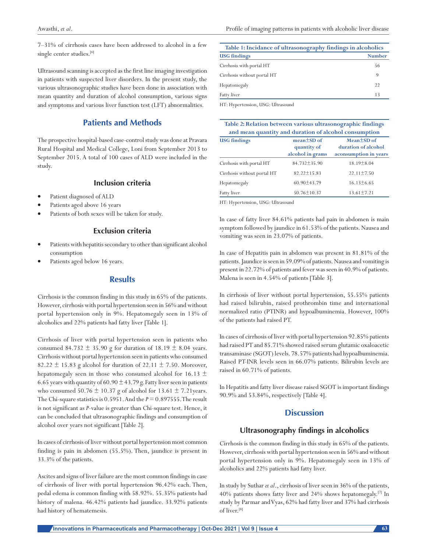7–31% of cirrhosis cases have been addressed to alcohol in a few single center studies.<sup>[6]</sup>

Ultrasound scanning is accepted as the first line imaging investigation in patients with suspected liver disorders. In the present study, the various ultrasonographic studies have been done in association with mean quantity and duration of alcohol consumption, various signs and symptoms and various liver function test (LFT) abnormalities.

## **Patients and Methods**

The prospective hospital-based case-control study was done at Pravara Rural Hospital and Medical College, Loni from September 2013 to September 2015. A total of 100 cases of ALD were included in the study.

## **Inclusion criteria**

- Patient diagnosed of ALD
- Patients aged above 16 years
- Patients of both sexes will be taken for study.

#### **Exclusion criteria**

- Patients with hepatitis secondary to other than significant alcohol consumption
- Patients aged below 16 years.

#### **Results**

Cirrhosis is the common finding in this study in 65% of the patients. However, cirrhosis with portal hypertension seen in 56% and without portal hypertension only in 9%. Hepatomegaly seen in 13% of alcoholics and 22% patients had fatty liver [Table 1].

Cirrhosis of liver with portal hypertension seen in patients who consumed 84.732  $\pm$  35.90 g for duration of 18.19  $\pm$  8.04 years. Cirrhosis without portal hypertension seen in patients who consumed 82.22  $\pm$  15.83 g alcohol for duration of 22.11  $\pm$  7.50. Moreover, hepatomegaly seen in those who consumed alcohol for 16.13  $\pm$ 6.65 years with quantity of 60.90  $\pm$  43.79 g. Fatty liver seen in patients who consumed 50.76  $\pm$  10.37 g of alcohol for 13.61  $\pm$  7.21 years. The Chi-square statistics is 0.5951. And the *P* = 0.897555. The result is not significant as *P*-value is greater than Chi-square test. Hence, it can be concluded that ultrasonographic findings and consumption of alcohol over years not significant [Table 2].

In cases of cirrhosis of liver without portal hypertension most common finding is pain in abdomen (55.5%). Then, jaundice is present in 33.3% of the patients.

Ascites and signs of liver failure are the most common findings in case of cirrhosis of liver with portal hypertension 96.42% each. Then, pedal edema is common finding with 58.92%. 55.35% patients had history of malena. 46.42% patients had jaundice. 33.92% patients had history of hematemesis.

| Table 1: Incidance of ultrasonography findings in alcoholics |               |  |  |
|--------------------------------------------------------------|---------------|--|--|
| <b>USG</b> findings                                          | <b>Number</b> |  |  |
| Cirrhosis with portal HT                                     | 56            |  |  |
| Cirrhosis without portal HT                                  | 9             |  |  |
| Hepatomegaly                                                 | 22            |  |  |
| Fatty liver                                                  | 13            |  |  |
|                                                              |               |  |  |

HT: Hypertension, USG: Ultrasound

| Table 2: Relation between various ultrasonographic findings<br>and mean quantity and duration of alcohol consumption |                                                     |                                                                  |  |  |  |  |
|----------------------------------------------------------------------------------------------------------------------|-----------------------------------------------------|------------------------------------------------------------------|--|--|--|--|
| <b>USG</b> findings                                                                                                  | $mean \pm SD$ of<br>quantity of<br>alcohol in grams | $Mean \pm SD$ of<br>duration of alcohol<br>aconsumption in years |  |  |  |  |
| Cirrhosis with portal HT                                                                                             | $84.732 \pm 35.90$                                  | $18.19 + 8.04$                                                   |  |  |  |  |
| Cirrhosis without portal HT                                                                                          | $82.22 + 15.83$                                     | $22.11 + 7.50$                                                   |  |  |  |  |
| Hepatomegaly                                                                                                         | $60.90 \pm 43.79$                                   | $16.13\pm 6.65$                                                  |  |  |  |  |
| Fatty liver                                                                                                          | $50.76 \pm 10.37$                                   | $13.61 \pm 7.21$                                                 |  |  |  |  |

HT: Hypertension, USG: Ultrasound

In case of fatty liver 84.61% patients had pain in abdomen is main symptom followed by jaundice in 61.53% of the patients. Nausea and vomiting was seen in 23.07% of patients.

In case of Hepatitis pain in abdomen was present in 81.81% of the patients. Jaundice is seen in 59.09% of patients. Nausea and vomiting is present in 22.72% of patients and fever was seen in 40.9% of patients. Malena is seen in 4.54% of patients [Table 3].

In cirrhosis of liver without portal hypertension, 55.55% patients had raised bilirubin, raised prothrombin time and international normalized ratio (PTINR) and hypoalbuminemia. However, 100% of the patients had raised PT.

In cases of cirrhosis of liver with portal hypertension 92.85% patients had raised PT and 85.71% showed raised serum glutamic oxaloacetic transaminase (SGOT) levels. 78.57% patients had hypoalbuminemia. Raised PT-INR levels seen in 66.07% patients. Bilirubin levels are raised in 60.71% of patients.

In Hepatitis and fatty liver disease raised SGOT is important findings 90.9% and 53.84%, respectively [Table 4].

#### **Discussion**

#### **Ultrasonography findings in alcoholics**

Cirrhosis is the common finding in this study in 65% of the patients. However, cirrhosis with portal hypertension seen in 56% and without portal hypertension only in 9%. Hepatomegaly seen in 13% of alcoholics and 22% patients had fatty liver.

In study by Suthar *et al*., cirrhosis of liver seen in 36% of the patients, 40% patients shows fatty liver and 24% shows hepatomegaly.[7] In study by Parmar and Vyas, 62% had fatty liver and 37% had cirrhosis of liver.[8]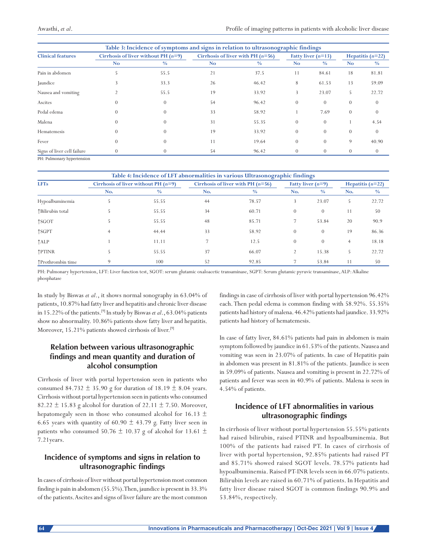| Table 3: Incidence of symptoms and signs in relation to ultrasonographic findings |                                       |               |                                     |               |                      |          |                    |               |
|-----------------------------------------------------------------------------------|---------------------------------------|---------------|-------------------------------------|---------------|----------------------|----------|--------------------|---------------|
| <b>Clinical features</b>                                                          | Cirrhosis of liver without PH $(n=9)$ |               | Cirrhosis of liver with PH $(n=56)$ |               | Fatty liver $(n=13)$ |          | Hepatitis $(n=22)$ |               |
|                                                                                   | No.                                   | $\frac{0}{0}$ | N <sub>o</sub>                      | $\frac{0}{0}$ | <b>No</b>            | $\%$     | <b>No</b>          | $\frac{0}{0}$ |
| Pain in abdomen                                                                   |                                       | 55.5          | 21                                  | 37.5          | 11                   | 84.61    | 18                 | 81.81         |
| Jaundice                                                                          |                                       | 33.3          | 26                                  | 46.42         | 8                    | 61.53    | 13                 | 59.09         |
| Nausea and vomiting                                                               |                                       | 55.5          | 19                                  | 33.92         | 3                    | 23.07    | 5                  | 22.72         |
| Ascites                                                                           |                                       |               | 54                                  | 96.42         | $\theta$             | $\theta$ | $\theta$           | $\theta$      |
| Pedal edema                                                                       | $\Omega$                              |               | 33                                  | 58.92         |                      | 7.69     | $\theta$           | $\theta$      |
| Malena                                                                            | $\left( \right)$                      |               | 31                                  | 55.35         | $\theta$             | $\theta$ |                    | 4.54          |
| Hematemesis                                                                       | $\Omega$                              |               | 19                                  | 33.92         | $\theta$             | $\theta$ | $\Omega$           | $\theta$      |
| Fever                                                                             | $\Omega$                              |               | 11                                  | 19.64         | $\Omega$             | $\Omega$ | 9                  | 40.90         |
| Signs of liver cell failure                                                       | $\Omega$                              |               | 54                                  | 96.42         | $\Omega$             | $\Omega$ | $\Omega$           | $\theta$      |

PH: Pulmonary hypertension

| Table 4: Incidence of LFT abnormalities in various Ultrasonographic findings |                                       |               |                                     |               |                     |               |                    |               |  |
|------------------------------------------------------------------------------|---------------------------------------|---------------|-------------------------------------|---------------|---------------------|---------------|--------------------|---------------|--|
| <b>LFTs</b>                                                                  | Cirrhosis of liver without PH $(n=9)$ |               | Cirrhosis of liver with PH $(n=56)$ |               | Fatty liver $(n=9)$ |               | Hepatitis $(n=22)$ |               |  |
|                                                                              | No.                                   | $\frac{0}{0}$ | No.                                 | $\frac{0}{0}$ | No.                 | $\frac{0}{0}$ | No.                | $\frac{0}{0}$ |  |
| Hypoalbuminemia                                                              |                                       | 55.55         | 44                                  | 78.57         | 3                   | 23.07         | 5                  | 22.72         |  |
| ↑Bilirubin total                                                             |                                       | 55.55         | 34                                  | 60.71         | $\theta$            | $\theta$      | 11                 | 50            |  |
| <b>TSGOT</b>                                                                 |                                       | 55.55         | 48                                  | 85.71         |                     | 53.84         | 20                 | 90.9          |  |
| <b>TSGPT</b>                                                                 |                                       | 44.44         | 33                                  | 58.92         | $\Omega$            | $\theta$      | 19                 | 86.36         |  |
| ↑ALP                                                                         |                                       | 11.11         | 7                                   | 12.5          | $\Omega$            | $\theta$      | $\overline{4}$     | 18.18         |  |
| <b>TPTINR</b>                                                                |                                       | 55.55         | 37                                  | 66.07         |                     | 15.38         | 5                  | 22.72         |  |
| ↑Prothrombin time                                                            | 9                                     | 100           | 52                                  | 92.85         |                     | 53.84         | 11                 | 50            |  |

PH: Pulmonary hypertension, LFT: Liver function test, SGOT: serum glutamic oxaloacetic transaminase, SGPT: Serum glutamic pyruvic transaminase, ALP: Alkaline phosphatase

In study by Biswas *et al*., it shows normal sonography in 63.04% of patients, 10.87% had fatty liver and hepatitis and chronic liver disease in 15.22% of the patients.[9] In study by Biswas *et al*., 63.04% patients show no abnormality. 10.86% patients show fatty liver and hepatitis. Moreover, 15.21% patients showed cirrhosis of liver.<sup>[9]</sup>

## **Relation between various ultrasonographic findings and mean quantity and duration of alcohol consumption**

Cirrhosis of liver with portal hypertension seen in patients who consumed 84.732  $\pm$  35.90 g for duration of 18.19  $\pm$  8.04 years. Cirrhosis without portal hypertension seen in patients who consumed 82.22  $\pm$  15.83 g alcohol for duration of 22.11  $\pm$  7.50. Moreover, hepatomegaly seen in those who consumed alcohol for 16.13  $\pm$ 6.65 years with quantity of 60.90  $\pm$  43.79 g. Fatty liver seen in patients who consumed 50.76  $\pm$  10.37 g of alcohol for 13.61  $\pm$ 7.21years.

## **Incidence of symptoms and signs in relation to ultrasonographic findings**

In cases of cirrhosis of liver without portal hypertension most common finding is pain in abdomen (55.5%). Then, jaundice is present in 33.3% of the patients. Ascites and signs of liver failure are the most common findings in case of cirrhosis of liver with portal hypertension 96.42% each. Then pedal edema is common finding with 58.92%. 55.35% patients had history of malena. 46.42% patients had jaundice. 33.92% patients had history of hematemesis.

In case of fatty liver, 84.61% patients had pain in abdomen is main symptom followed by jaundice in 61.53% of the patients. Nausea and vomiting was seen in 23.07% of patients. In case of Hepatitis pain in abdomen was present in 81.81% of the patients. Jaundice is seen in 59.09% of patients. Nausea and vomiting is present in 22.72% of patients and fever was seen in 40.9% of patients. Malena is seen in 4.54% of patients.

## **Incidence of LFT abnormalities in various ultrasonographic findings**

In cirrhosis of liver without portal hypertension 55.55% patients had raised bilirubin, raised PTINR and hypoalbuminemia. But 100% of the patients had raised PT. In cases of cirrhosis of liver with portal hypertension, 92.85% patients had raised PT and 85.71% showed raised SGOT levels. 78.57% patients had hypoalbuminemia. Raised PT-INR levels seen in 66.07% patients. Bilirubin levels are raised in 60.71% of patients. In Hepatitis and fatty liver disease raised SGOT is common findings 90.9% and 53.84%, respectively.